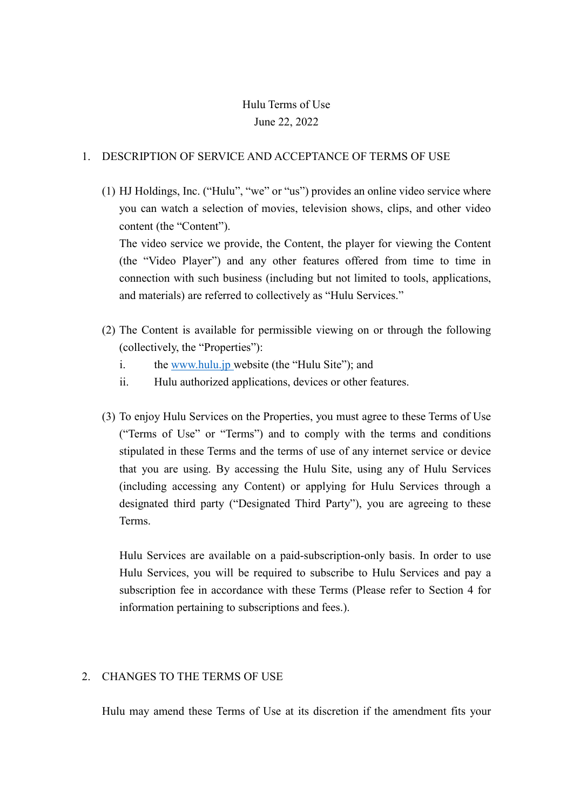# Hulu Terms of Use June 22, 2022

## 1. DESCRIPTION OF SERVICE AND ACCEPTANCE OF TERMS OF USE

(1) HJ Holdings, Inc. ("Hulu", "we" or "us") provides an online video service where you can watch a selection of movies, television shows, clips, and other video content (the "Content").

The video service we provide, the Content, the player for viewing the Content (the "Video Player") and any other features offered from time to time in connection with such business (including but not limited to tools, applications, and materials) are referred to collectively as "Hulu Services."

- (2) The Content is available for permissible viewing on or through the following (collectively, the "Properties"):
	- i. the [www.hulu.jp](http://www.hulu.jp/) website (the "Hulu Site"); and
	- ii. Hulu authorized applications, devices or other features.
- (3) To enjoy Hulu Services on the Properties, you must agree to these Terms of Use ("Terms of Use" or "Terms") and to comply with the terms and conditions stipulated in these Terms and the terms of use of any internet service or device that you are using. By accessing the Hulu Site, using any of Hulu Services (including accessing any Content) or applying for Hulu Services through a designated third party ("Designated Third Party"), you are agreeing to these Terms.

Hulu Services are available on a paid-subscription-only basis. In order to use Hulu Services, you will be required to subscribe to Hulu Services and pay a subscription fee in accordance with these Terms (Please refer to Section 4 for information pertaining to subscriptions and fees.).

## 2. CHANGES TO THE TERMS OF USE

Hulu may amend these Terms of Use at its discretion if the amendment fits your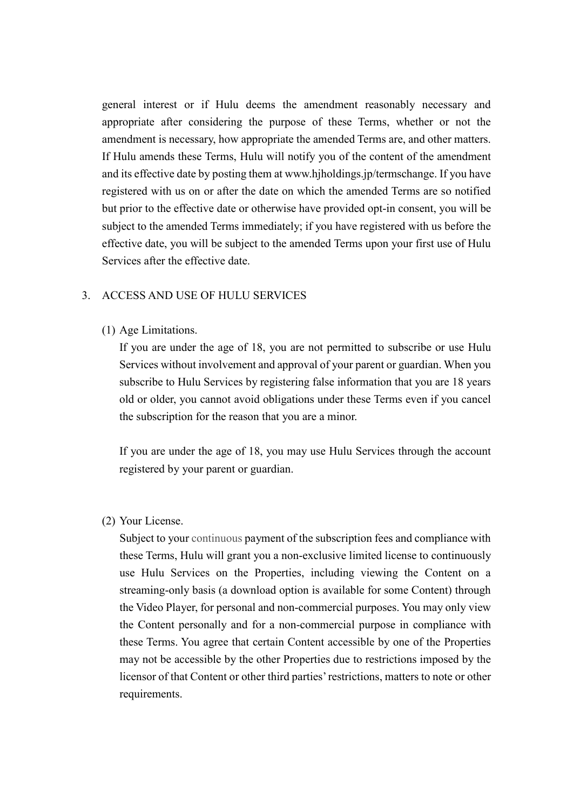general interest or if Hulu deems the amendment reasonably necessary and appropriate after considering the purpose of these Terms, whether or not the amendment is necessary, how appropriate the amended Terms are, and other matters. If Hulu amends these Terms, Hulu will notify you of the content of the amendment and its effective date by posting them at www.hjholdings.jp/termschange. If you have registered with us on or after the date on which the amended Terms are so notified but prior to the effective date or otherwise have provided opt-in consent, you will be subject to the amended Terms immediately; if you have registered with us before the effective date, you will be subject to the amended Terms upon your first use of Hulu Services after the effective date.

#### 3. ACCESS AND USE OF HULU SERVICES

#### (1) Age Limitations.

If you are under the age of 18, you are not permitted to subscribe or use Hulu Services without involvement and approval of your parent or guardian. When you subscribe to Hulu Services by registering false information that you are 18 years old or older, you cannot avoid obligations under these Terms even if you cancel the subscription for the reason that you are a minor.

If you are under the age of 18, you may use Hulu Services through the account registered by your parent or guardian.

#### (2) Your License.

Subject to your continuous payment of the subscription fees and compliance with these Terms, Hulu will grant you a non-exclusive limited license to continuously use Hulu Services on the Properties, including viewing the Content on a streaming-only basis (a download option is available for some Content) through the Video Player, for personal and non-commercial purposes. You may only view the Content personally and for a non-commercial purpose in compliance with these Terms. You agree that certain Content accessible by one of the Properties may not be accessible by the other Properties due to restrictions imposed by the licensor of that Content or other third parties' restrictions, matters to note or other requirements.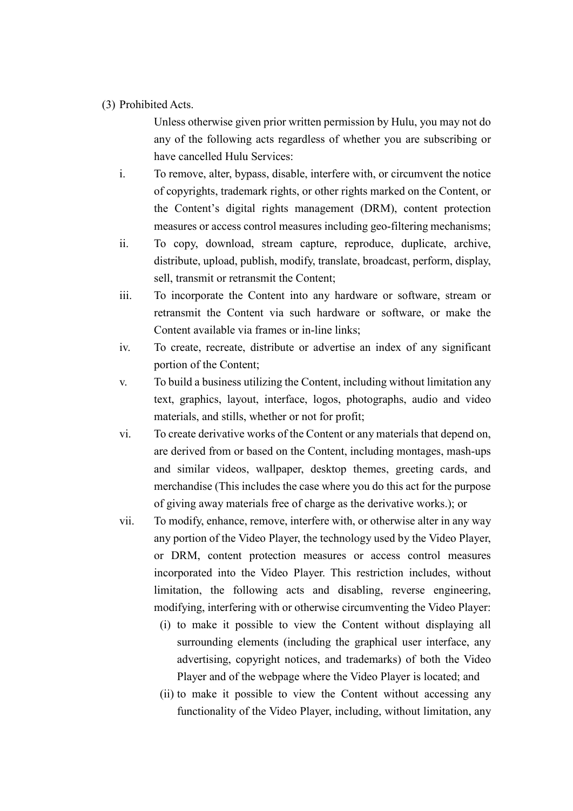#### (3) Prohibited Acts.

Unless otherwise given prior written permission by Hulu, you may not do any of the following acts regardless of whether you are subscribing or have cancelled Hulu Services:

- i. To remove, alter, bypass, disable, interfere with, or circumvent the notice of copyrights, trademark rights, or other rights marked on the Content, or the Content's digital rights management (DRM), content protection measures or access control measures including geo-filtering mechanisms;
- ii. To copy, download, stream capture, reproduce, duplicate, archive, distribute, upload, publish, modify, translate, broadcast, perform, display, sell, transmit or retransmit the Content;
- iii. To incorporate the Content into any hardware or software, stream or retransmit the Content via such hardware or software, or make the Content available via frames or in-line links;
- iv. To create, recreate, distribute or advertise an index of any significant portion of the Content;
- v. To build a business utilizing the Content, including without limitation any text, graphics, layout, interface, logos, photographs, audio and video materials, and stills, whether or not for profit;
- vi. To create derivative works of the Content or any materials that depend on, are derived from or based on the Content, including montages, mash-ups and similar videos, wallpaper, desktop themes, greeting cards, and merchandise (This includes the case where you do this act for the purpose of giving away materials free of charge as the derivative works.); or
- vii. To modify, enhance, remove, interfere with, or otherwise alter in any way any portion of the Video Player, the technology used by the Video Player, or DRM, content protection measures or access control measures incorporated into the Video Player. This restriction includes, without limitation, the following acts and disabling, reverse engineering, modifying, interfering with or otherwise circumventing the Video Player:
	- (i) to make it possible to view the Content without displaying all surrounding elements (including the graphical user interface, any advertising, copyright notices, and trademarks) of both the Video Player and of the webpage where the Video Player is located; and
	- (ii) to make it possible to view the Content without accessing any functionality of the Video Player, including, without limitation, any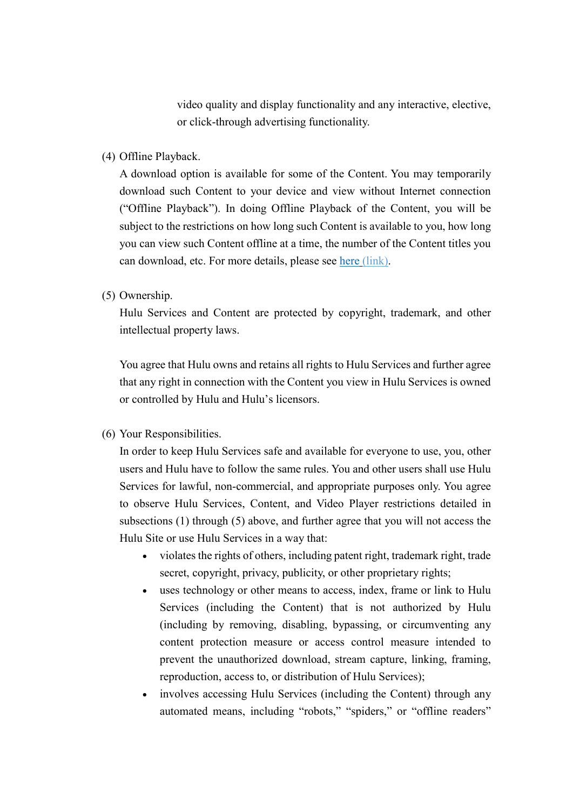video quality and display functionality and any interactive, elective, or click-through advertising functionality.

(4) Offline Playback.

A download option is available for some of the Content. You may temporarily download such Content to your device and view without Internet connection ("Offline Playback"). In doing Offline Playback of the Content, you will be subject to the restrictions on how long such Content is available to you, how long you can view such Content offline at a time, the number of the Content titles you can download, etc. For more details, please see [here](https://help.hulu.jp/hc/ja/sections/360007567494) (link).

(5) Ownership.

Hulu Services and Content are protected by copyright, trademark, and other intellectual property laws.

You agree that Hulu owns and retains all rights to Hulu Services and further agree that any right in connection with the Content you view in Hulu Services is owned or controlled by Hulu and Hulu's licensors.

(6) Your Responsibilities.

In order to keep Hulu Services safe and available for everyone to use, you, other users and Hulu have to follow the same rules. You and other users shall use Hulu Services for lawful, non-commercial, and appropriate purposes only. You agree to observe Hulu Services, Content, and Video Player restrictions detailed in subsections (1) through (5) above, and further agree that you will not access the Hulu Site or use Hulu Services in a way that:

- violates the rights of others, including patent right, trademark right, trade secret, copyright, privacy, publicity, or other proprietary rights;
- uses technology or other means to access, index, frame or link to Hulu Services (including the Content) that is not authorized by Hulu (including by removing, disabling, bypassing, or circumventing any content protection measure or access control measure intended to prevent the unauthorized download, stream capture, linking, framing, reproduction, access to, or distribution of Hulu Services);
- involves accessing Hulu Services (including the Content) through any automated means, including "robots," "spiders," or "offline readers"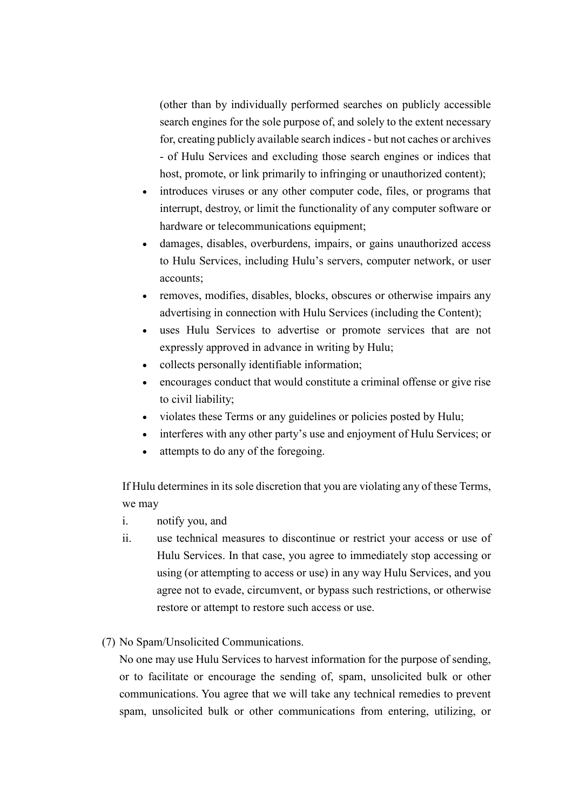(other than by individually performed searches on publicly accessible search engines for the sole purpose of, and solely to the extent necessary for, creating publicly available search indices - but not caches or archives - of Hulu Services and excluding those search engines or indices that host, promote, or link primarily to infringing or unauthorized content);

- introduces viruses or any other computer code, files, or programs that interrupt, destroy, or limit the functionality of any computer software or hardware or telecommunications equipment;
- damages, disables, overburdens, impairs, or gains unauthorized access to Hulu Services, including Hulu's servers, computer network, or user accounts;
- removes, modifies, disables, blocks, obscures or otherwise impairs any advertising in connection with Hulu Services (including the Content);
- uses Hulu Services to advertise or promote services that are not expressly approved in advance in writing by Hulu;
- collects personally identifiable information;
- encourages conduct that would constitute a criminal offense or give rise to civil liability;
- violates these Terms or any guidelines or policies posted by Hulu;
- interferes with any other party's use and enjoyment of Hulu Services; or
- attempts to do any of the foregoing.

If Hulu determines in its sole discretion that you are violating any of these Terms, we may

- i. notify you, and
- ii. use technical measures to discontinue or restrict your access or use of Hulu Services. In that case, you agree to immediately stop accessing or using (or attempting to access or use) in any way Hulu Services, and you agree not to evade, circumvent, or bypass such restrictions, or otherwise restore or attempt to restore such access or use.
- (7) No Spam/Unsolicited Communications.

No one may use Hulu Services to harvest information for the purpose of sending, or to facilitate or encourage the sending of, spam, unsolicited bulk or other communications. You agree that we will take any technical remedies to prevent spam, unsolicited bulk or other communications from entering, utilizing, or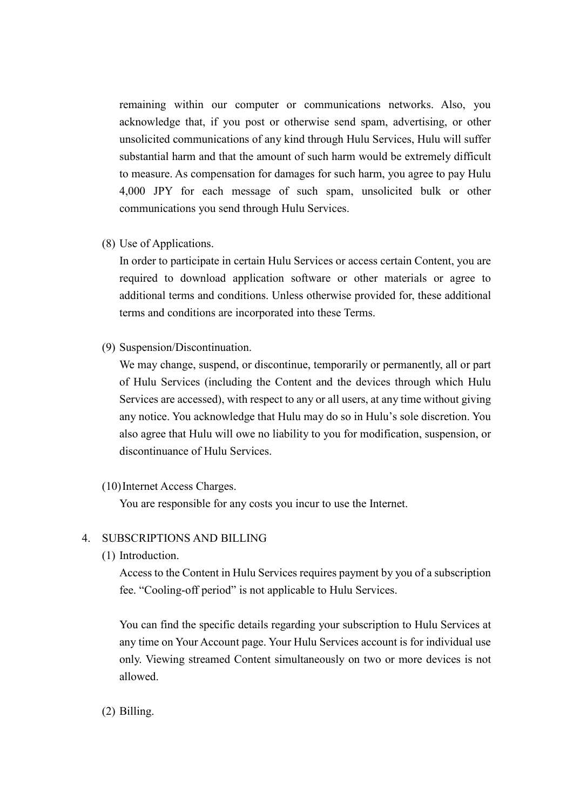remaining within our computer or communications networks. Also, you acknowledge that, if you post or otherwise send spam, advertising, or other unsolicited communications of any kind through Hulu Services, Hulu will suffer substantial harm and that the amount of such harm would be extremely difficult to measure. As compensation for damages for such harm, you agree to pay Hulu 4,000 JPY for each message of such spam, unsolicited bulk or other communications you send through Hulu Services.

(8) Use of Applications.

In order to participate in certain Hulu Services or access certain Content, you are required to download application software or other materials or agree to additional terms and conditions. Unless otherwise provided for, these additional terms and conditions are incorporated into these Terms.

(9) Suspension/Discontinuation.

We may change, suspend, or discontinue, temporarily or permanently, all or part of Hulu Services (including the Content and the devices through which Hulu Services are accessed), with respect to any or all users, at any time without giving any notice. You acknowledge that Hulu may do so in Hulu's sole discretion. You also agree that Hulu will owe no liability to you for modification, suspension, or discontinuance of Hulu Services.

(10)Internet Access Charges.

You are responsible for any costs you incur to use the Internet.

#### 4. SUBSCRIPTIONS AND BILLING

(1) Introduction.

Access to the Content in Hulu Services requires payment by you of a subscription fee. "Cooling-off period" is not applicable to Hulu Services.

You can find the specific details regarding your subscription to Hulu Services at any time on Your Account page. Your Hulu Services account is for individual use only. Viewing streamed Content simultaneously on two or more devices is not allowed.

(2) Billing.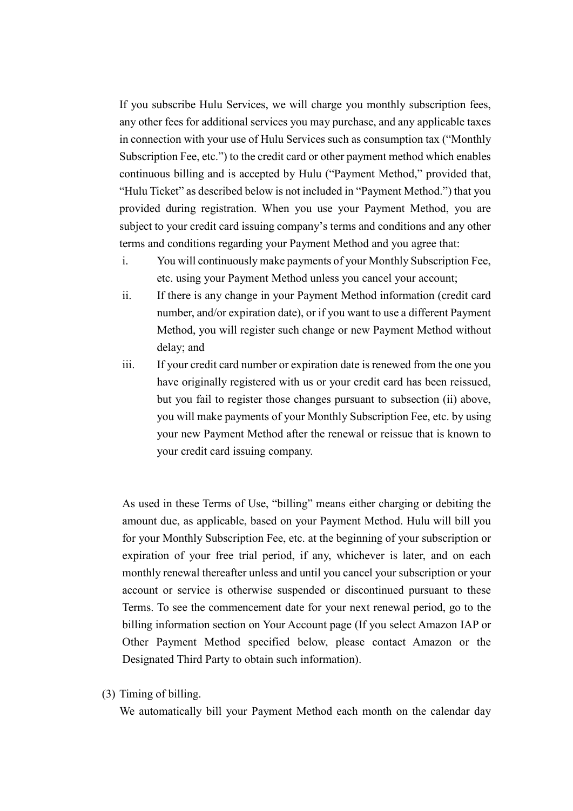If you subscribe Hulu Services, we will charge you monthly subscription fees, any other fees for additional services you may purchase, and any applicable taxes in connection with your use of Hulu Services such as consumption tax ("Monthly Subscription Fee, etc.") to the credit card or other payment method which enables continuous billing and is accepted by Hulu ("Payment Method," provided that, "Hulu Ticket" as described below is not included in "Payment Method.") that you provided during registration. When you use your Payment Method, you are subject to your credit card issuing company's terms and conditions and any other terms and conditions regarding your Payment Method and you agree that:

- i. You will continuously make payments of your Monthly Subscription Fee, etc. using your Payment Method unless you cancel your account;
- ii. If there is any change in your Payment Method information (credit card number, and/or expiration date), or if you want to use a different Payment Method, you will register such change or new Payment Method without delay; and
- iii. If your credit card number or expiration date is renewed from the one you have originally registered with us or your credit card has been reissued, but you fail to register those changes pursuant to subsection (ii) above, you will make payments of your Monthly Subscription Fee, etc. by using your new Payment Method after the renewal or reissue that is known to your credit card issuing company.

As used in these Terms of Use, "billing" means either charging or debiting the amount due, as applicable, based on your Payment Method. Hulu will bill you for your Monthly Subscription Fee, etc. at the beginning of your subscription or expiration of your free trial period, if any, whichever is later, and on each monthly renewal thereafter unless and until you cancel your subscription or your account or service is otherwise suspended or discontinued pursuant to these Terms. To see the commencement date for your next renewal period, go to the billing information section on Your Account page (If you select Amazon IAP or Other Payment Method specified below, please contact Amazon or the Designated Third Party to obtain such information).

(3) Timing of billing.

We automatically bill your Payment Method each month on the calendar day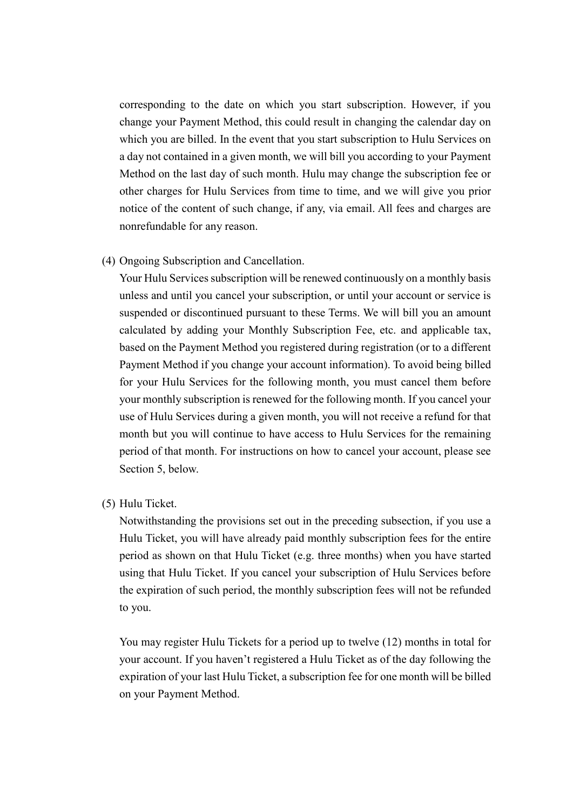corresponding to the date on which you start subscription. However, if you change your Payment Method, this could result in changing the calendar day on which you are billed. In the event that you start subscription to Hulu Services on a day not contained in a given month, we will bill you according to your Payment Method on the last day of such month. Hulu may change the subscription fee or other charges for Hulu Services from time to time, and we will give you prior notice of the content of such change, if any, via email. All fees and charges are nonrefundable for any reason.

(4) Ongoing Subscription and Cancellation.

Your Hulu Services subscription will be renewed continuously on a monthly basis unless and until you cancel your subscription, or until your account or service is suspended or discontinued pursuant to these Terms. We will bill you an amount calculated by adding your Monthly Subscription Fee, etc. and applicable tax, based on the Payment Method you registered during registration (or to a different Payment Method if you change your account information). To avoid being billed for your Hulu Services for the following month, you must cancel them before your monthly subscription is renewed for the following month. If you cancel your use of Hulu Services during a given month, you will not receive a refund for that month but you will continue to have access to Hulu Services for the remaining period of that month. For instructions on how to cancel your account, please see Section 5, below.

(5) Hulu Ticket.

Notwithstanding the provisions set out in the preceding subsection, if you use a Hulu Ticket, you will have already paid monthly subscription fees for the entire period as shown on that Hulu Ticket (e.g. three months) when you have started using that Hulu Ticket. If you cancel your subscription of Hulu Services before the expiration of such period, the monthly subscription fees will not be refunded to you.

You may register Hulu Tickets for a period up to twelve (12) months in total for your account. If you haven't registered a Hulu Ticket as of the day following the expiration of your last Hulu Ticket, a subscription fee for one month will be billed on your Payment Method.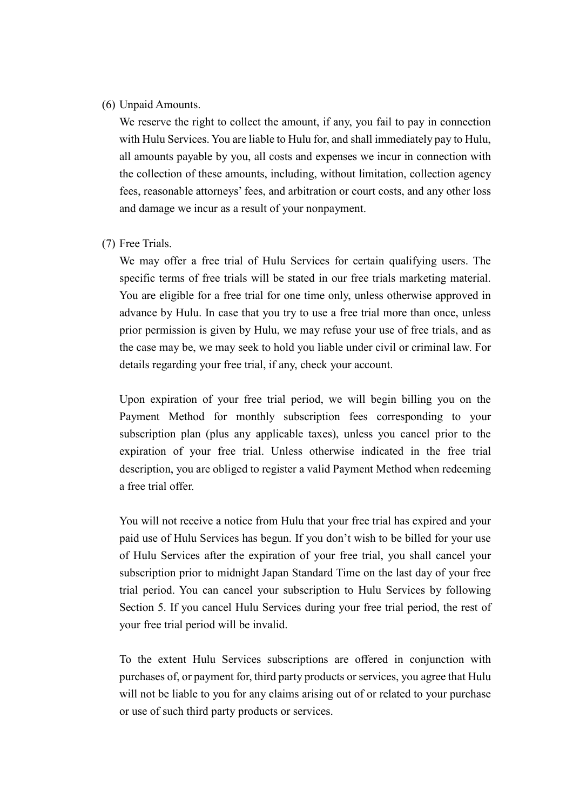#### (6) Unpaid Amounts.

We reserve the right to collect the amount, if any, you fail to pay in connection with Hulu Services. You are liable to Hulu for, and shall immediately pay to Hulu, all amounts payable by you, all costs and expenses we incur in connection with the collection of these amounts, including, without limitation, collection agency fees, reasonable attorneys' fees, and arbitration or court costs, and any other loss and damage we incur as a result of your nonpayment.

(7) Free Trials.

We may offer a free trial of Hulu Services for certain qualifying users. The specific terms of free trials will be stated in our free trials marketing material. You are eligible for a free trial for one time only, unless otherwise approved in advance by Hulu. In case that you try to use a free trial more than once, unless prior permission is given by Hulu, we may refuse your use of free trials, and as the case may be, we may seek to hold you liable under civil or criminal law. For details regarding your free trial, if any, check your account.

Upon expiration of your free trial period, we will begin billing you on the Payment Method for monthly subscription fees corresponding to your subscription plan (plus any applicable taxes), unless you cancel prior to the expiration of your free trial. Unless otherwise indicated in the free trial description, you are obliged to register a valid Payment Method when redeeming a free trial offer.

You will not receive a notice from Hulu that your free trial has expired and your paid use of Hulu Services has begun. If you don't wish to be billed for your use of Hulu Services after the expiration of your free trial, you shall cancel your subscription prior to midnight Japan Standard Time on the last day of your free trial period. You can cancel your subscription to Hulu Services by following Section 5. If you cancel Hulu Services during your free trial period, the rest of your free trial period will be invalid.

To the extent Hulu Services subscriptions are offered in conjunction with purchases of, or payment for, third party products or services, you agree that Hulu will not be liable to you for any claims arising out of or related to your purchase or use of such third party products or services.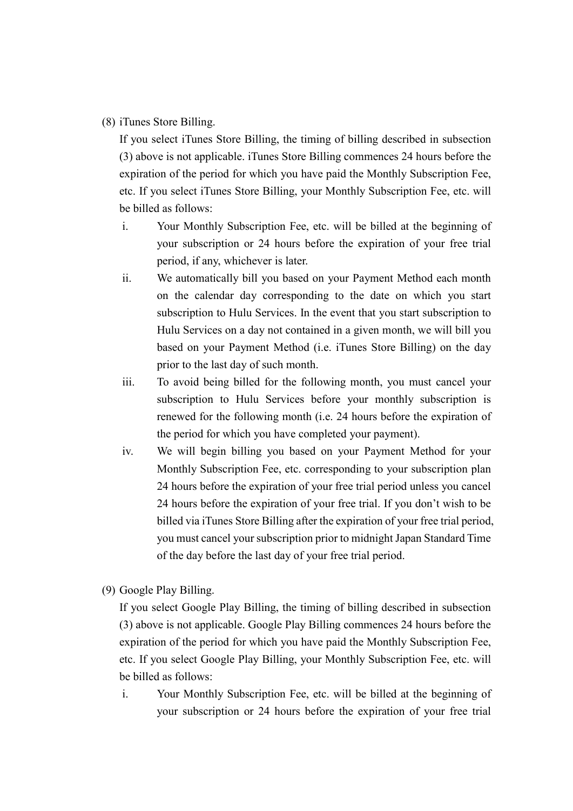(8) iTunes Store Billing.

If you select iTunes Store Billing, the timing of billing described in subsection (3) above is not applicable. iTunes Store Billing commences 24 hours before the expiration of the period for which you have paid the Monthly Subscription Fee, etc. If you select iTunes Store Billing, your Monthly Subscription Fee, etc. will be billed as follows:

- i. Your Monthly Subscription Fee, etc. will be billed at the beginning of your subscription or 24 hours before the expiration of your free trial period, if any, whichever is later.
- ii. We automatically bill you based on your Payment Method each month on the calendar day corresponding to the date on which you start subscription to Hulu Services. In the event that you start subscription to Hulu Services on a day not contained in a given month, we will bill you based on your Payment Method (i.e. iTunes Store Billing) on the day prior to the last day of such month.
- iii. To avoid being billed for the following month, you must cancel your subscription to Hulu Services before your monthly subscription is renewed for the following month (i.e. 24 hours before the expiration of the period for which you have completed your payment).
- iv. We will begin billing you based on your Payment Method for your Monthly Subscription Fee, etc. corresponding to your subscription plan 24 hours before the expiration of your free trial period unless you cancel 24 hours before the expiration of your free trial. If you don't wish to be billed via iTunes Store Billing after the expiration of your free trial period, you must cancel your subscription prior to midnight Japan Standard Time of the day before the last day of your free trial period.
- (9) Google Play Billing.

If you select Google Play Billing, the timing of billing described in subsection (3) above is not applicable. Google Play Billing commences 24 hours before the expiration of the period for which you have paid the Monthly Subscription Fee, etc. If you select Google Play Billing, your Monthly Subscription Fee, etc. will be billed as follows:

i. Your Monthly Subscription Fee, etc. will be billed at the beginning of your subscription or 24 hours before the expiration of your free trial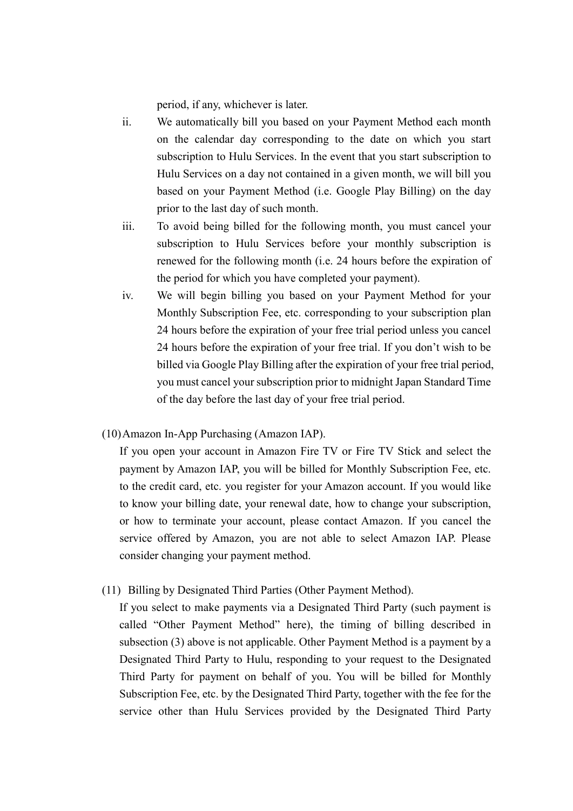period, if any, whichever is later.

- ii. We automatically bill you based on your Payment Method each month on the calendar day corresponding to the date on which you start subscription to Hulu Services. In the event that you start subscription to Hulu Services on a day not contained in a given month, we will bill you based on your Payment Method (i.e. Google Play Billing) on the day prior to the last day of such month.
- iii. To avoid being billed for the following month, you must cancel your subscription to Hulu Services before your monthly subscription is renewed for the following month (i.e. 24 hours before the expiration of the period for which you have completed your payment).
- iv. We will begin billing you based on your Payment Method for your Monthly Subscription Fee, etc. corresponding to your subscription plan 24 hours before the expiration of your free trial period unless you cancel 24 hours before the expiration of your free trial. If you don't wish to be billed via Google Play Billing after the expiration of your free trial period, you must cancel your subscription prior to midnight Japan Standard Time of the day before the last day of your free trial period.
- (10)Amazon In-App Purchasing (Amazon IAP).

If you open your account in Amazon Fire TV or Fire TV Stick and select the payment by Amazon IAP, you will be billed for Monthly Subscription Fee, etc. to the credit card, etc. you register for your Amazon account. If you would like to know your billing date, your renewal date, how to change your subscription, or how to terminate your account, please contact Amazon. If you cancel the service offered by Amazon, you are not able to select Amazon IAP. Please consider changing your payment method.

(11) Billing by Designated Third Parties (Other Payment Method).

If you select to make payments via a Designated Third Party (such payment is called "Other Payment Method" here), the timing of billing described in subsection (3) above is not applicable. Other Payment Method is a payment by a Designated Third Party to Hulu, responding to your request to the Designated Third Party for payment on behalf of you. You will be billed for Monthly Subscription Fee, etc. by the Designated Third Party, together with the fee for the service other than Hulu Services provided by the Designated Third Party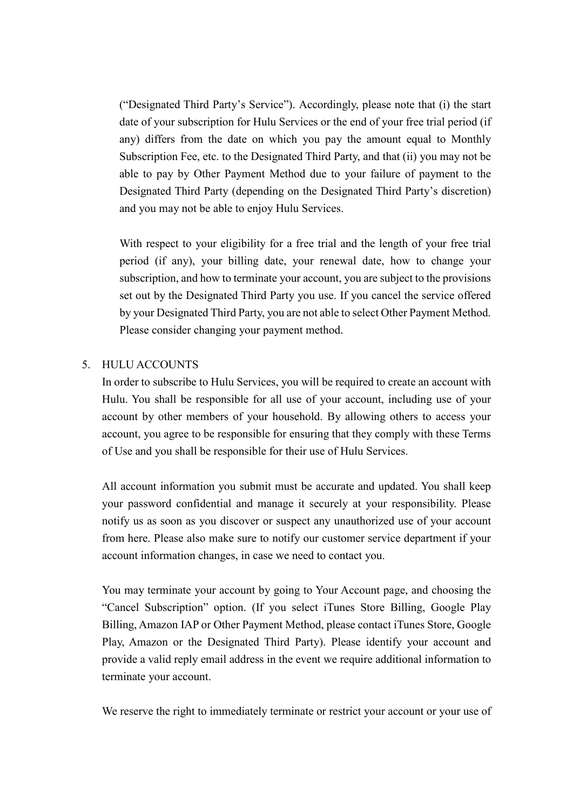("Designated Third Party's Service"). Accordingly, please note that (i) the start date of your subscription for Hulu Services or the end of your free trial period (if any) differs from the date on which you pay the amount equal to Monthly Subscription Fee, etc. to the Designated Third Party, and that (ii) you may not be able to pay by Other Payment Method due to your failure of payment to the Designated Third Party (depending on the Designated Third Party's discretion) and you may not be able to enjoy Hulu Services.

With respect to your eligibility for a free trial and the length of your free trial period (if any), your billing date, your renewal date, how to change your subscription, and how to terminate your account, you are subject to the provisions set out by the Designated Third Party you use. If you cancel the service offered by your Designated Third Party, you are not able to select Other Payment Method. Please consider changing your payment method.

## 5. HULU ACCOUNTS

In order to subscribe to Hulu Services, you will be required to create an account with Hulu. You shall be responsible for all use of your account, including use of your account by other members of your household. By allowing others to access your account, you agree to be responsible for ensuring that they comply with these Terms of Use and you shall be responsible for their use of Hulu Services.

All account information you submit must be accurate and updated. You shall keep your password confidential and manage it securely at your responsibility. Please notify us as soon as you discover or suspect any unauthorized use of your account from here. Please also make sure to notify our customer service department if your account information changes, in case we need to contact you.

You may terminate your account by going to Your Account page, and choosing the "Cancel Subscription" option. (If you select iTunes Store Billing, Google Play Billing, Amazon IAP or Other Payment Method, please contact iTunes Store, Google Play, Amazon or the Designated Third Party). Please identify your account and provide a valid reply email address in the event we require additional information to terminate your account.

We reserve the right to immediately terminate or restrict your account or your use of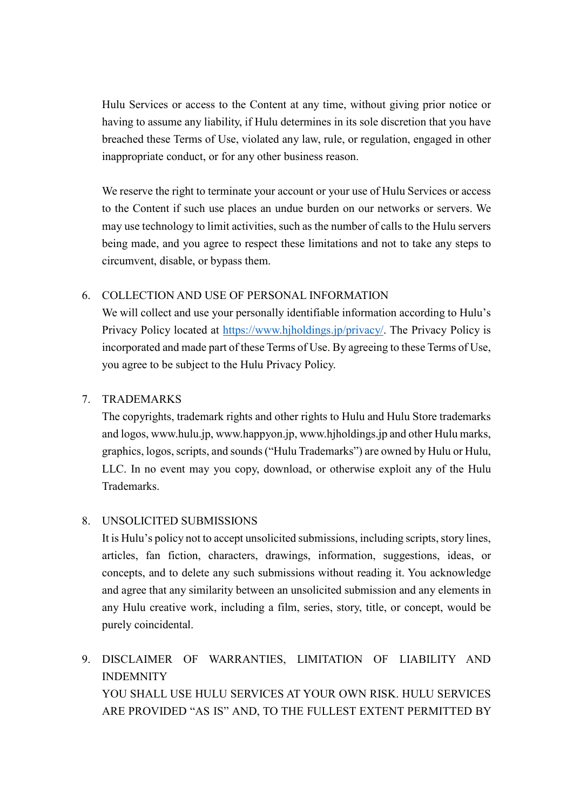Hulu Services or access to the Content at any time, without giving prior notice or having to assume any liability, if Hulu determines in its sole discretion that you have breached these Terms of Use, violated any law, rule, or regulation, engaged in other inappropriate conduct, or for any other business reason.

We reserve the right to terminate your account or your use of Hulu Services or access to the Content if such use places an undue burden on our networks or servers. We may use technology to limit activities, such as the number of calls to the Hulu servers being made, and you agree to respect these limitations and not to take any steps to circumvent, disable, or bypass them.

# 6. COLLECTION AND USE OF PERSONAL INFORMATION

We will collect and use your personally identifiable information according to Hulu's Privacy Policy located at [https://www.hjholdings.jp/privacy/.](https://www.hjholdings.jp/privacy/) The Privacy Policy is incorporated and made part of these Terms of Use. By agreeing to these Terms of Use, you agree to be subject to the Hulu Privacy Policy.

# 7. TRADEMARKS

The copyrights, trademark rights and other rights to Hulu and Hulu Store trademarks and logos, www.hulu.jp, www.happyon.jp, www.hjholdings.jp and other Hulu marks, graphics, logos, scripts, and sounds ("Hulu Trademarks") are owned by Hulu or Hulu, LLC. In no event may you copy, download, or otherwise exploit any of the Hulu Trademarks.

# 8. UNSOLICITED SUBMISSIONS

It is Hulu's policy not to accept unsolicited submissions, including scripts, story lines, articles, fan fiction, characters, drawings, information, suggestions, ideas, or concepts, and to delete any such submissions without reading it. You acknowledge and agree that any similarity between an unsolicited submission and any elements in any Hulu creative work, including a film, series, story, title, or concept, would be purely coincidental.

9. DISCLAIMER OF WARRANTIES, LIMITATION OF LIABILITY AND INDEMNITY YOU SHALL USE HULU SERVICES AT YOUR OWN RISK. HULU SERVICES ARE PROVIDED "AS IS" AND, TO THE FULLEST EXTENT PERMITTED BY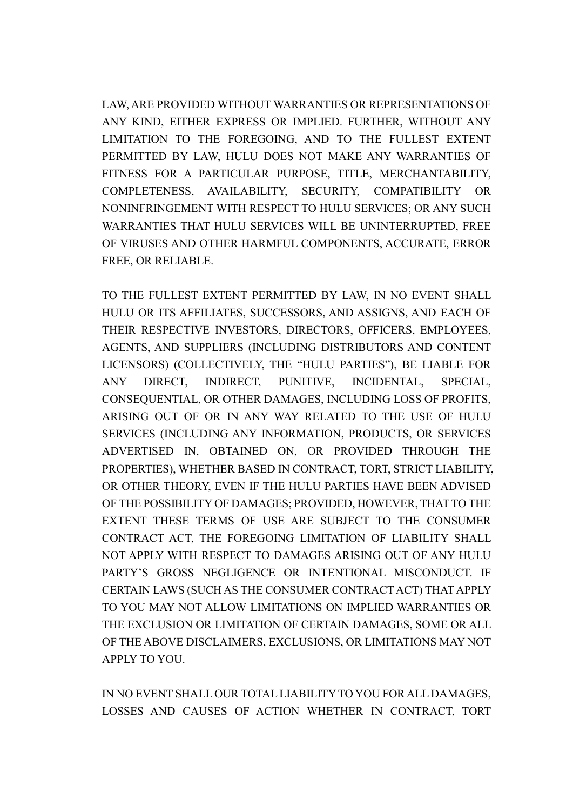LAW, ARE PROVIDED WITHOUT WARRANTIES OR REPRESENTATIONS OF ANY KIND, EITHER EXPRESS OR IMPLIED. FURTHER, WITHOUT ANY LIMITATION TO THE FOREGOING, AND TO THE FULLEST EXTENT PERMITTED BY LAW, HULU DOES NOT MAKE ANY WARRANTIES OF FITNESS FOR A PARTICULAR PURPOSE, TITLE, MERCHANTABILITY, COMPLETENESS, AVAILABILITY, SECURITY, COMPATIBILITY OR NONINFRINGEMENT WITH RESPECT TO HULU SERVICES; OR ANY SUCH WARRANTIES THAT HULU SERVICES WILL BE UNINTERRUPTED, FREE OF VIRUSES AND OTHER HARMFUL COMPONENTS, ACCURATE, ERROR FREE, OR RELIABLE.

TO THE FULLEST EXTENT PERMITTED BY LAW, IN NO EVENT SHALL HULU OR ITS AFFILIATES, SUCCESSORS, AND ASSIGNS, AND EACH OF THEIR RESPECTIVE INVESTORS, DIRECTORS, OFFICERS, EMPLOYEES, AGENTS, AND SUPPLIERS (INCLUDING DISTRIBUTORS AND CONTENT LICENSORS) (COLLECTIVELY, THE "HULU PARTIES"), BE LIABLE FOR ANY DIRECT, INDIRECT, PUNITIVE, INCIDENTAL, SPECIAL, CONSEQUENTIAL, OR OTHER DAMAGES, INCLUDING LOSS OF PROFITS, ARISING OUT OF OR IN ANY WAY RELATED TO THE USE OF HULU SERVICES (INCLUDING ANY INFORMATION, PRODUCTS, OR SERVICES ADVERTISED IN, OBTAINED ON, OR PROVIDED THROUGH THE PROPERTIES), WHETHER BASED IN CONTRACT, TORT, STRICT LIABILITY, OR OTHER THEORY, EVEN IF THE HULU PARTIES HAVE BEEN ADVISED OF THE POSSIBILITY OF DAMAGES; PROVIDED, HOWEVER, THAT TO THE EXTENT THESE TERMS OF USE ARE SUBJECT TO THE CONSUMER CONTRACT ACT, THE FOREGOING LIMITATION OF LIABILITY SHALL NOT APPLY WITH RESPECT TO DAMAGES ARISING OUT OF ANY HULU PARTY'S GROSS NEGLIGENCE OR INTENTIONAL MISCONDUCT. IF CERTAIN LAWS (SUCH AS THE CONSUMER CONTRACT ACT) THAT APPLY TO YOU MAY NOT ALLOW LIMITATIONS ON IMPLIED WARRANTIES OR THE EXCLUSION OR LIMITATION OF CERTAIN DAMAGES, SOME OR ALL OF THE ABOVE DISCLAIMERS, EXCLUSIONS, OR LIMITATIONS MAY NOT APPLY TO YOU.

IN NO EVENT SHALL OUR TOTAL LIABILITY TO YOU FOR ALL DAMAGES, LOSSES AND CAUSES OF ACTION WHETHER IN CONTRACT, TORT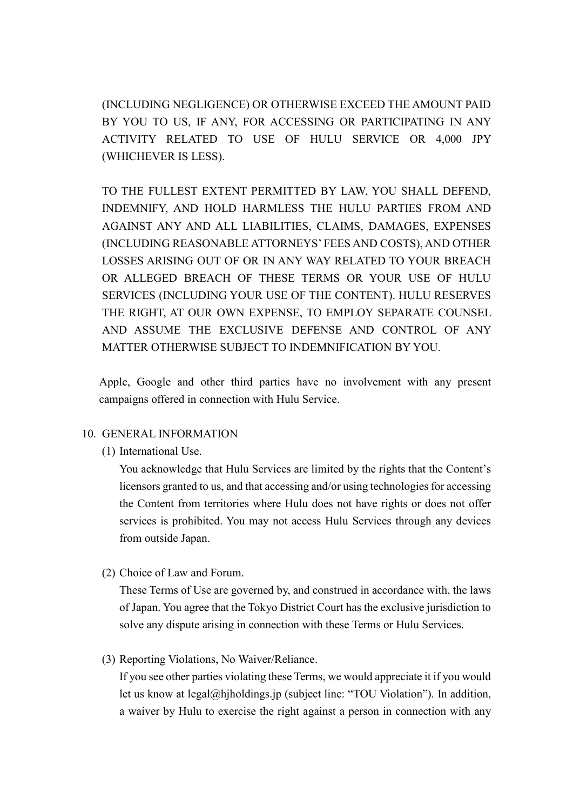(INCLUDING NEGLIGENCE) OR OTHERWISE EXCEED THE AMOUNT PAID BY YOU TO US, IF ANY, FOR ACCESSING OR PARTICIPATING IN ANY ACTIVITY RELATED TO USE OF HULU SERVICE OR 4,000 JPY (WHICHEVER IS LESS).

TO THE FULLEST EXTENT PERMITTED BY LAW, YOU SHALL DEFEND, INDEMNIFY, AND HOLD HARMLESS THE HULU PARTIES FROM AND AGAINST ANY AND ALL LIABILITIES, CLAIMS, DAMAGES, EXPENSES (INCLUDING REASONABLE ATTORNEYS' FEES AND COSTS), AND OTHER LOSSES ARISING OUT OF OR IN ANY WAY RELATED TO YOUR BREACH OR ALLEGED BREACH OF THESE TERMS OR YOUR USE OF HULU SERVICES (INCLUDING YOUR USE OF THE CONTENT). HULU RESERVES THE RIGHT, AT OUR OWN EXPENSE, TO EMPLOY SEPARATE COUNSEL AND ASSUME THE EXCLUSIVE DEFENSE AND CONTROL OF ANY MATTER OTHERWISE SUBJECT TO INDEMNIFICATION BY YOU.

 Apple, Google and other third parties have no involvement with any present campaigns offered in connection with Hulu Service.

## 10. GENERAL INFORMATION

(1) International Use.

You acknowledge that Hulu Services are limited by the rights that the Content's licensors granted to us, and that accessing and/or using technologies for accessing the Content from territories where Hulu does not have rights or does not offer services is prohibited. You may not access Hulu Services through any devices from outside Japan.

(2) Choice of Law and Forum.

These Terms of Use are governed by, and construed in accordance with, the laws of Japan. You agree that the Tokyo District Court has the exclusive jurisdiction to solve any dispute arising in connection with these Terms or Hulu Services.

(3) Reporting Violations, No Waiver/Reliance.

If you see other parties violating these Terms, we would appreciate it if you would let us know at legal@hjholdings.jp (subject line: "TOU Violation"). In addition, a waiver by Hulu to exercise the right against a person in connection with any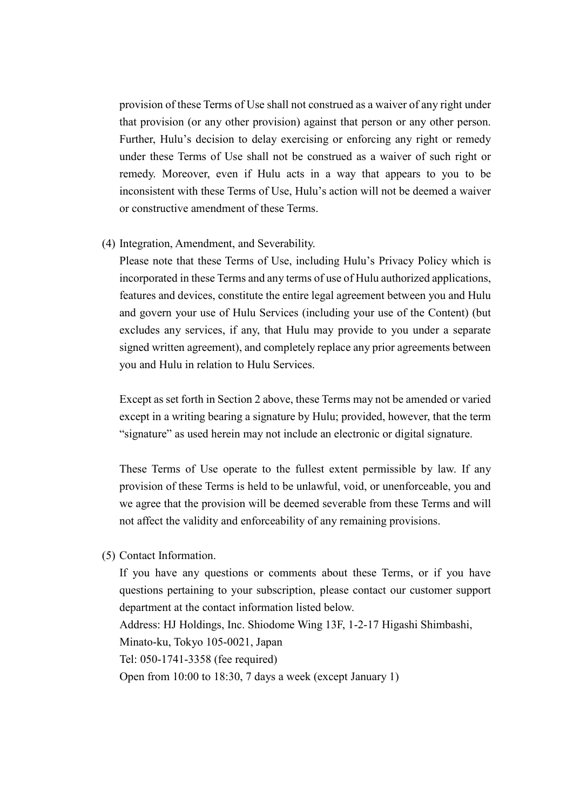provision of these Terms of Use shall not construed as a waiver of any right under that provision (or any other provision) against that person or any other person. Further, Hulu's decision to delay exercising or enforcing any right or remedy under these Terms of Use shall not be construed as a waiver of such right or remedy. Moreover, even if Hulu acts in a way that appears to you to be inconsistent with these Terms of Use, Hulu's action will not be deemed a waiver or constructive amendment of these Terms.

(4) Integration, Amendment, and Severability.

Please note that these Terms of Use, including Hulu's Privacy Policy which is incorporated in these Terms and any terms of use of Hulu authorized applications, features and devices, constitute the entire legal agreement between you and Hulu and govern your use of Hulu Services (including your use of the Content) (but excludes any services, if any, that Hulu may provide to you under a separate signed written agreement), and completely replace any prior agreements between you and Hulu in relation to Hulu Services.

Except as set forth in Section 2 above, these Terms may not be amended or varied except in a writing bearing a signature by Hulu; provided, however, that the term "signature" as used herein may not include an electronic or digital signature.

These Terms of Use operate to the fullest extent permissible by law. If any provision of these Terms is held to be unlawful, void, or unenforceable, you and we agree that the provision will be deemed severable from these Terms and will not affect the validity and enforceability of any remaining provisions.

(5) Contact Information.

If you have any questions or comments about these Terms, or if you have questions pertaining to your subscription, please contact our customer support department at the contact information listed below.

Address: HJ Holdings, Inc. Shiodome Wing 13F, 1-2-17 Higashi Shimbashi,

Minato-ku, Tokyo 105-0021, Japan

Tel: 050-1741-3358 (fee required)

Open from 10:00 to 18:30, 7 days a week (except January 1)